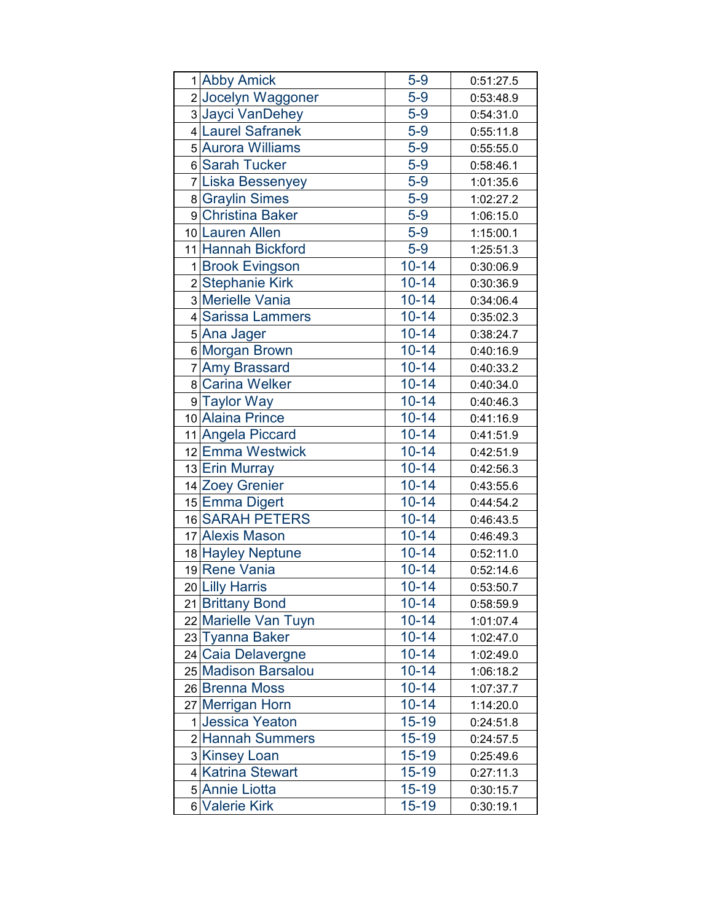|   | 1 Abby Amick          | $5-9$     | 0:51:27.5 |
|---|-----------------------|-----------|-----------|
|   | 2 Jocelyn Waggoner    | $5-9$     | 0:53:48.9 |
|   | 3 Jayci VanDehey      | $5-9$     | 0:54:31.0 |
|   | 4 Laurel Safranek     | $5-9$     | 0:55:11.8 |
|   | 5 Aurora Williams     | $5-9$     | 0:55:55.0 |
|   | 6 Sarah Tucker        | $5-9$     | 0:58:46.1 |
|   | 7 Liska Bessenyey     | $5-9$     | 1:01:35.6 |
|   | 8 Graylin Simes       | $5-9$     | 1:02:27.2 |
|   | 9 Christina Baker     | $5-9$     | 1:06:15.0 |
|   | 10 Lauren Allen       | $5-9$     | 1:15:00.1 |
|   | 11 Hannah Bickford    | $5-9$     | 1:25:51.3 |
|   | 1 Brook Evingson      | $10 - 14$ | 0:30:06.9 |
|   | 2 Stephanie Kirk      | $10 - 14$ | 0:30:36.9 |
|   | 3 Merielle Vania      | $10 - 14$ | 0:34:06.4 |
|   | 4 Sarissa Lammers     | $10 - 14$ | 0:35:02.3 |
|   | 5 Ana Jager           | $10 - 14$ | 0:38:24.7 |
|   | 6 Morgan Brown        | $10 - 14$ | 0:40:16.9 |
|   | 7 Amy Brassard        | $10 - 14$ | 0:40:33.2 |
|   | 8 Carina Welker       | $10 - 14$ | 0:40:34.0 |
|   | 9 Taylor Way          | $10 - 14$ | 0:40:46.3 |
|   | 10 Alaina Prince      | $10 - 14$ | 0:41:16.9 |
|   | 11 Angela Piccard     | $10 - 14$ | 0:41:51.9 |
|   | 12 Emma Westwick      | $10 - 14$ | 0:42:51.9 |
|   | 13 Erin Murray        | $10 - 14$ | 0:42:56.3 |
|   | 14 Zoey Grenier       | $10 - 14$ | 0:43:55.6 |
|   | 15 Emma Digert        | $10 - 14$ | 0:44:54.2 |
|   | 16 SARAH PETERS       | $10 - 14$ | 0:46:43.5 |
|   | 17 Alexis Mason       | $10 - 14$ | 0:46:49.3 |
|   | 18 Hayley Neptune     | $10 - 14$ | 0:52:11.0 |
|   | 19 Rene Vania         | $10 - 14$ | 0:52:14.6 |
|   | 20 Lilly Harris       | $10 - 14$ | 0:53:50.7 |
|   | 21 Brittany Bond      | $10 - 14$ | 0:58:59.9 |
|   | 22 Marielle Van Tuyn  | $10 - 14$ | 1:01:07.4 |
|   | 23 Tyanna Baker       | $10 - 14$ | 1:02:47.0 |
|   | 24 Caia Delavergne    | $10 - 14$ | 1:02:49.0 |
|   | 25 Madison Barsalou   | $10 - 14$ | 1:06:18.2 |
|   | 26 Brenna Moss        | $10 - 14$ | 1:07:37.7 |
|   | 27 Merrigan Horn      | $10 - 14$ | 1:14:20.0 |
| 1 | <b>Jessica Yeaton</b> | 15-19     | 0:24:51.8 |
|   | 2 Hannah Summers      | $15 - 19$ | 0:24:57.5 |
|   | 3 Kinsey Loan         | 15-19     | 0:25:49.6 |
|   | 4 Katrina Stewart     | $15 - 19$ | 0:27:11.3 |
|   | 5 Annie Liotta        | $15 - 19$ | 0:30:15.7 |
|   | 6 Valerie Kirk        | $15 - 19$ | 0:30:19.1 |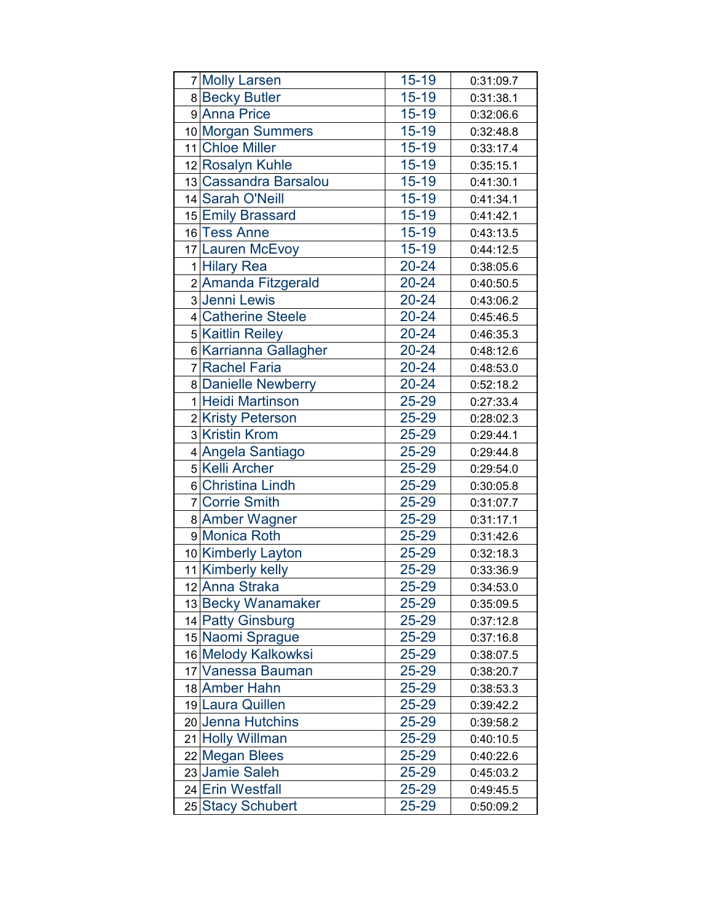| 7 Molly Larsen        | $15 - 19$ | 0:31:09.7 |
|-----------------------|-----------|-----------|
| 8 Becky Butler        | 15-19     | 0:31:38.1 |
| 9 Anna Price          | $15 - 19$ | 0:32:06.6 |
| 10 Morgan Summers     | $15 - 19$ | 0:32:48.8 |
| 11 Chloe Miller       | $15 - 19$ | 0:33:17.4 |
| 12 Rosalyn Kuhle      | $15 - 19$ | 0:35:15.1 |
| 13 Cassandra Barsalou | $15 - 19$ | 0:41:30.1 |
| 14 Sarah O'Neill      | $15 - 19$ | 0:41:34.1 |
| 15 Emily Brassard     | $15 - 19$ | 0:41:42.1 |
| 16 Tess Anne          | $15 - 19$ | 0:43:13.5 |
| 17 Lauren McEvoy      | $15 - 19$ | 0:44:12.5 |
| 1 Hilary Rea          | $20 - 24$ | 0:38:05.6 |
| 2 Amanda Fitzgerald   | $20 - 24$ | 0:40:50.5 |
| 3 Jenni Lewis         | $20 - 24$ | 0:43:06.2 |
| 4 Catherine Steele    | 20-24     | 0:45:46.5 |
| 5 Kaitlin Reiley      | $20 - 24$ | 0:46:35.3 |
| 6 Karrianna Gallagher | $20 - 24$ | 0:48:12.6 |
| 7 Rachel Faria        | $20 - 24$ | 0:48:53.0 |
| 8 Danielle Newberry   | 20-24     | 0:52:18.2 |
| 1 Heidi Martinson     | 25-29     | 0:27:33.4 |
| 2 Kristy Peterson     | 25-29     | 0:28:02.3 |
| 3 Kristin Krom        | 25-29     | 0:29:44.1 |
| 4 Angela Santiago     | 25-29     | 0:29:44.8 |
| 5 Kelli Archer        | 25-29     | 0:29:54.0 |
| 6 Christina Lindh     | 25-29     | 0:30:05.8 |
| 7 Corrie Smith        | 25-29     | 0:31:07.7 |
| 8 Amber Wagner        | 25-29     | 0:31:17.1 |
| 9 Monica Roth         | 25-29     | 0:31:42.6 |
| 10 Kimberly Layton    | 25-29     | 0:32:18.3 |
| 11 Kimberly kelly     | 25-29     | 0:33:36.9 |
| 12 Anna Straka        | 25-29     | 0:34:53.0 |
| 13 Becky Wanamaker    | 25-29     | 0:35:09.5 |
| 14 Patty Ginsburg     | 25-29     | 0:37:12.8 |
| 15 Naomi Sprague      | 25-29     | 0:37:16.8 |
| 16 Melody Kalkowksi   | 25-29     | 0:38:07.5 |
| 17 Vanessa Bauman     | 25-29     | 0:38:20.7 |
| 18 Amber Hahn         | 25-29     | 0:38:53.3 |
| 19 Laura Quillen      | 25-29     | 0:39:42.2 |
| 20 Jenna Hutchins     | 25-29     | 0:39:58.2 |
| 21 Holly Willman      | 25-29     | 0:40:10.5 |
| 22 Megan Blees        | 25-29     | 0:40:22.6 |
| 23 Jamie Saleh        | 25-29     | 0:45:03.2 |
| 24 Erin Westfall      | 25-29     | 0:49:45.5 |
| 25 Stacy Schubert     | 25-29     | 0:50:09.2 |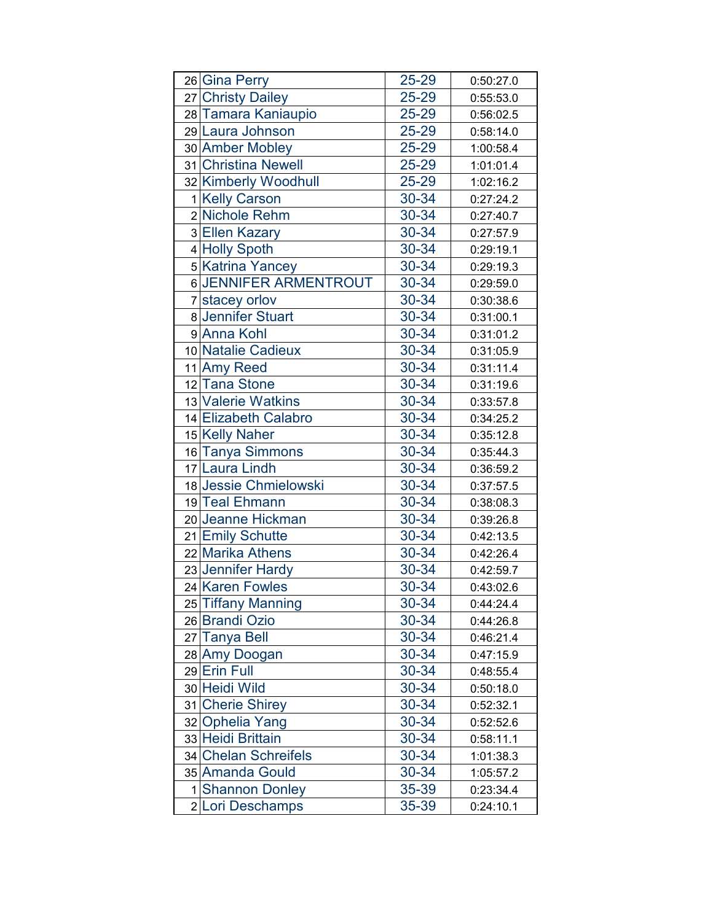|    | 26 Gina Perry         | 25-29 | 0:50:27.0 |
|----|-----------------------|-------|-----------|
|    | 27 Christy Dailey     | 25-29 | 0:55:53.0 |
|    | 28 Tamara Kaniaupio   | 25-29 | 0:56:02.5 |
|    | 29 Laura Johnson      | 25-29 | 0:58:14.0 |
|    | 30 Amber Mobley       | 25-29 | 1:00:58.4 |
|    | 31 Christina Newell   | 25-29 | 1:01:01.4 |
|    | 32 Kimberly Woodhull  | 25-29 | 1:02:16.2 |
|    | 1 Kelly Carson        | 30-34 | 0:27:24.2 |
|    | 2 Nichole Rehm        | 30-34 | 0:27:40.7 |
|    | 3 Ellen Kazary        | 30-34 | 0:27:57.9 |
|    | 4 Holly Spoth         | 30-34 | 0:29:19.1 |
|    | 5 Katrina Yancey      | 30-34 | 0:29:19.3 |
|    | 6 JENNIFER ARMENTROUT | 30-34 | 0:29:59.0 |
|    | 7 stacey orlov        | 30-34 | 0:30:38.6 |
|    | 8 Jennifer Stuart     | 30-34 | 0:31:00.1 |
|    | 9 Anna Kohl           | 30-34 | 0:31:01.2 |
|    | 10 Natalie Cadieux    | 30-34 | 0:31:05.9 |
|    | 11 Amy Reed           | 30-34 | 0:31:11.4 |
|    | 12 Tana Stone         | 30-34 | 0:31:19.6 |
|    | 13 Valerie Watkins    | 30-34 | 0:33:57.8 |
|    | 14 Elizabeth Calabro  | 30-34 | 0:34:25.2 |
|    | 15 Kelly Naher        | 30-34 | 0:35:12.8 |
|    | 16 Tanya Simmons      | 30-34 | 0:35:44.3 |
|    | 17 Laura Lindh        | 30-34 | 0:36:59.2 |
|    | 18 Jessie Chmielowski | 30-34 | 0:37:57.5 |
|    | 19 Teal Ehmann        | 30-34 | 0:38:08.3 |
|    | 20 Jeanne Hickman     | 30-34 | 0:39:26.8 |
|    | 21 Emily Schutte      | 30-34 | 0:42:13.5 |
|    | 22 Marika Athens      | 30-34 | 0:42:26.4 |
|    | 23 Jennifer Hardy     | 30-34 | 0:42:59.7 |
|    | 24 Karen Fowles       | 30-34 | 0:43:02.6 |
|    | 25 Tiffany Manning    | 30-34 | 0:44:24.4 |
|    | 26 Brandi Ozio        | 30-34 | 0:44:26.8 |
| 27 | <b>Tanya Bell</b>     | 30-34 | 0:46:21.4 |
|    | 28 Amy Doogan         | 30-34 | 0:47:15.9 |
|    | 29 Erin Full          | 30-34 | 0:48:55.4 |
|    | 30 Heidi Wild         | 30-34 | 0:50:18.0 |
|    | 31 Cherie Shirey      | 30-34 | 0:52:32.1 |
|    | 32 Ophelia Yang       | 30-34 | 0:52:52.6 |
|    | 33 Heidi Brittain     | 30-34 | 0:58:11.1 |
|    | 34 Chelan Schreifels  | 30-34 | 1:01:38.3 |
|    | 35 Amanda Gould       | 30-34 | 1:05:57.2 |
| 1  | <b>Shannon Donley</b> | 35-39 | 0:23:34.4 |
|    | 2 Lori Deschamps      | 35-39 | 0:24:10.1 |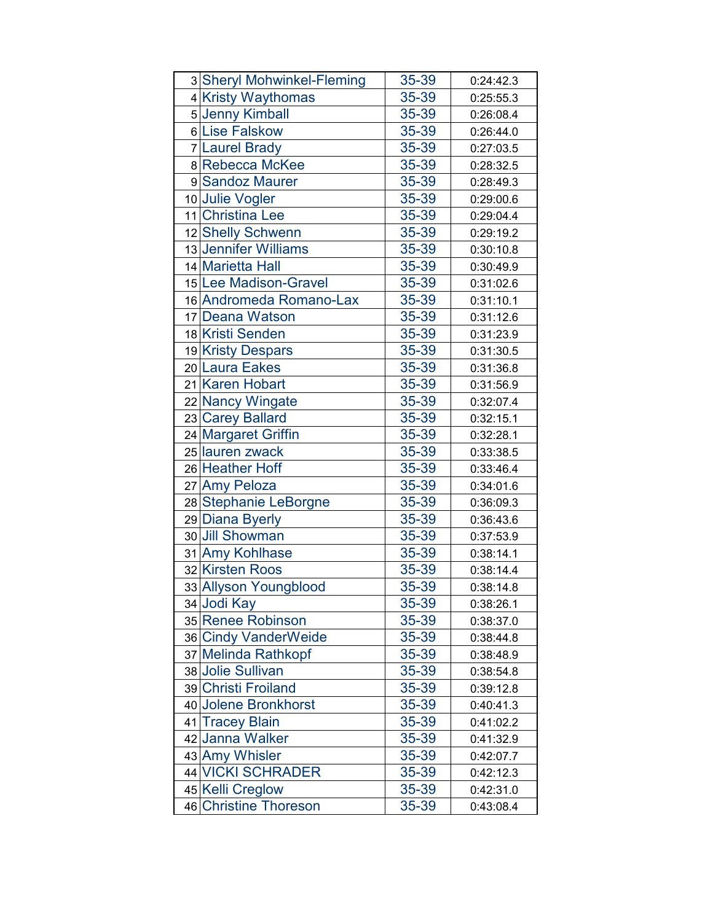| 3 Sheryl Mohwinkel-Fleming | 35-39 | 0:24:42.3 |
|----------------------------|-------|-----------|
| 4 Kristy Waythomas         | 35-39 | 0:25:55.3 |
| 5 Jenny Kimball            | 35-39 | 0:26:08.4 |
| 6 Lise Falskow             | 35-39 | 0:26:44.0 |
| 7 Laurel Brady             | 35-39 | 0:27:03.5 |
| 8 Rebecca McKee            | 35-39 | 0:28:32.5 |
| 9 Sandoz Maurer            | 35-39 | 0:28:49.3 |
| 10 Julie Vogler            | 35-39 | 0:29:00.6 |
| 11 Christina Lee           | 35-39 | 0:29:04.4 |
| 12 Shelly Schwenn          | 35-39 | 0:29:19.2 |
| 13 Jennifer Williams       | 35-39 | 0:30:10.8 |
| 14 Marietta Hall           | 35-39 | 0:30:49.9 |
| 15 Lee Madison-Gravel      | 35-39 | 0:31:02.6 |
| 16 Andromeda Romano-Lax    | 35-39 | 0:31:10.1 |
| 17 Deana Watson            | 35-39 | 0:31:12.6 |
| 18 Kristi Senden           | 35-39 | 0:31:23.9 |
| 19 Kristy Despars          | 35-39 | 0:31:30.5 |
| 20 Laura Eakes             | 35-39 | 0:31:36.8 |
| 21 Karen Hobart            | 35-39 | 0:31:56.9 |
| 22 Nancy Wingate           | 35-39 | 0:32:07.4 |
| 23 Carey Ballard           | 35-39 | 0:32:15.1 |
| 24 Margaret Griffin        | 35-39 | 0:32:28.1 |
| 25 lauren zwack            | 35-39 | 0:33:38.5 |
| 26 Heather Hoff            | 35-39 | 0:33:46.4 |
| 27 Amy Peloza              | 35-39 | 0:34:01.6 |
| 28 Stephanie LeBorgne      | 35-39 | 0:36:09.3 |
| 29 Diana Byerly            | 35-39 | 0:36:43.6 |
| 30 Jill Showman            | 35-39 | 0:37:53.9 |
| 31 Amy Kohlhase            | 35-39 | 0:38:14.1 |
| 32 Kirsten Roos            | 35-39 | 0:38:14.4 |
| 33 Allyson Youngblood      | 35-39 | 0:38:14.8 |
| 34 Jodi Kay                | 35-39 | 0:38:26.1 |
| 35 Renee Robinson          | 35-39 | 0:38:37.0 |
| 36 Cindy VanderWeide       | 35-39 | 0:38:44.8 |
| 37 Melinda Rathkopf        | 35-39 | 0:38:48.9 |
| 38 Jolie Sullivan          | 35-39 | 0:38:54.8 |
| 39 Christi Froiland        | 35-39 | 0:39:12.8 |
| 40 Jolene Bronkhorst       | 35-39 | 0:40:41.3 |
| 41 Tracey Blain            | 35-39 | 0:41:02.2 |
| 42 Janna Walker            | 35-39 | 0:41:32.9 |
| 43 Amy Whisler             | 35-39 | 0:42:07.7 |
| 44 VICKI SCHRADER          | 35-39 | 0:42:12.3 |
| 45 Kelli Creglow           | 35-39 | 0:42:31.0 |
| 46 Christine Thoreson      | 35-39 | 0:43:08.4 |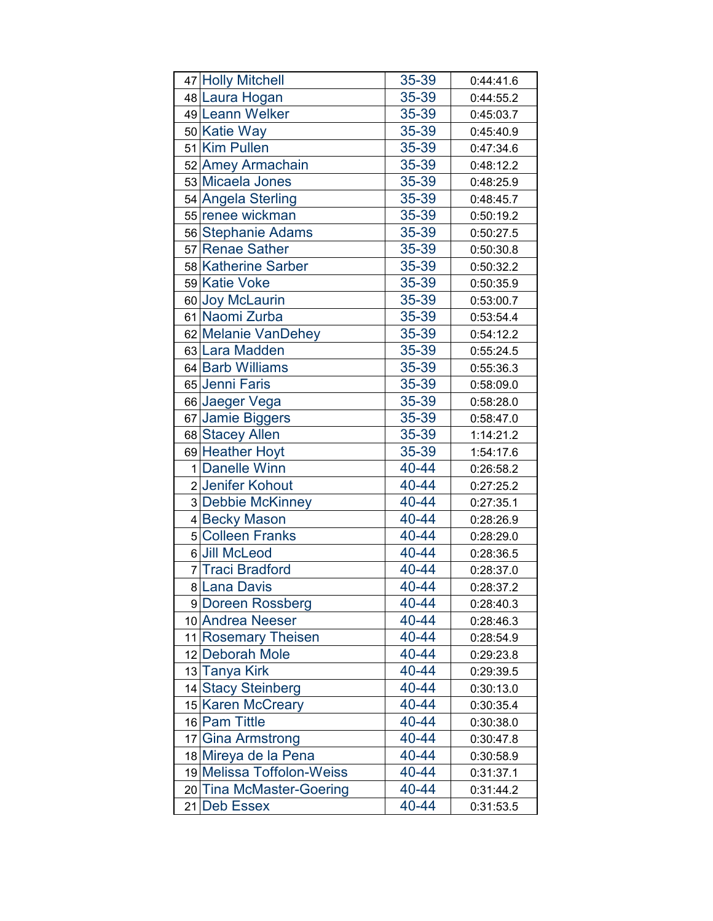|    | 47 Holly Mitchell         | 35-39 | 0:44:41.6 |
|----|---------------------------|-------|-----------|
|    | 48 Laura Hogan            | 35-39 | 0:44:55.2 |
|    | 49 Leann Welker           | 35-39 | 0:45:03.7 |
|    | 50 Katie Way              | 35-39 | 0:45:40.9 |
|    | 51 Kim Pullen             | 35-39 | 0:47:34.6 |
|    | 52 Amey Armachain         | 35-39 | 0:48:12.2 |
|    | 53 Micaela Jones          | 35-39 | 0:48:25.9 |
|    | 54 Angela Sterling        | 35-39 | 0:48:45.7 |
|    | 55 renee wickman          | 35-39 | 0:50:19.2 |
|    | 56 Stephanie Adams        | 35-39 | 0:50:27.5 |
|    | 57 Renae Sather           | 35-39 | 0:50:30.8 |
|    | 58 Katherine Sarber       | 35-39 | 0:50:32.2 |
|    | 59 Katie Voke             | 35-39 | 0:50:35.9 |
|    | 60 Joy McLaurin           | 35-39 | 0:53:00.7 |
|    | 61 Naomi Zurba            | 35-39 | 0:53:54.4 |
|    | 62 Melanie VanDehey       | 35-39 | 0:54:12.2 |
|    | 63 Lara Madden            | 35-39 | 0:55:24.5 |
|    | 64 Barb Williams          | 35-39 | 0:55:36.3 |
|    | 65 Jenni Faris            | 35-39 | 0:58:09.0 |
|    | 66 Jaeger Vega            | 35-39 | 0:58:28.0 |
|    | 67 Jamie Biggers          | 35-39 | 0:58:47.0 |
|    | 68 Stacey Allen           | 35-39 | 1:14:21.2 |
|    | 69 Heather Hoyt           | 35-39 | 1:54:17.6 |
|    | 1 Danelle Winn            | 40-44 | 0:26:58.2 |
|    | 2 Jenifer Kohout          | 40-44 | 0:27:25.2 |
|    | 3 Debbie McKinney         | 40-44 | 0:27:35.1 |
|    | 4 Becky Mason             | 40-44 | 0:28:26.9 |
|    | 5 Colleen Franks          | 40-44 | 0:28:29.0 |
|    | 6 Jill McLeod             | 40-44 | 0:28:36.5 |
|    | 7 Traci Bradford          | 40-44 | 0:28:37.0 |
|    | 8 Lana Davis              | 40-44 | 0:28:37.2 |
|    | 9 Doreen Rossberg         | 40-44 | 0:28:40.3 |
|    | 10 Andrea Neeser          | 40-44 | 0:28:46.3 |
|    | 11 Rosemary Theisen       | 40-44 | 0:28:54.9 |
|    | 12 Deborah Mole           | 40-44 | 0:29:23.8 |
|    | 13 Tanya Kirk             | 40-44 | 0:29:39.5 |
|    | 14 Stacy Steinberg        | 40-44 | 0:30:13.0 |
|    | 15 Karen McCreary         | 40-44 | 0:30:35.4 |
|    | 16 Pam Tittle             | 40-44 | 0:30:38.0 |
|    | 17 Gina Armstrong         | 40-44 | 0:30:47.8 |
|    | 18 Mireya de la Pena      | 40-44 | 0:30:58.9 |
|    | 19 Melissa Toffolon-Weiss | 40-44 | 0:31:37.1 |
|    | 20 Tina McMaster-Goering  | 40-44 | 0:31:44.2 |
| 21 | <b>Deb Essex</b>          | 40-44 | 0:31:53.5 |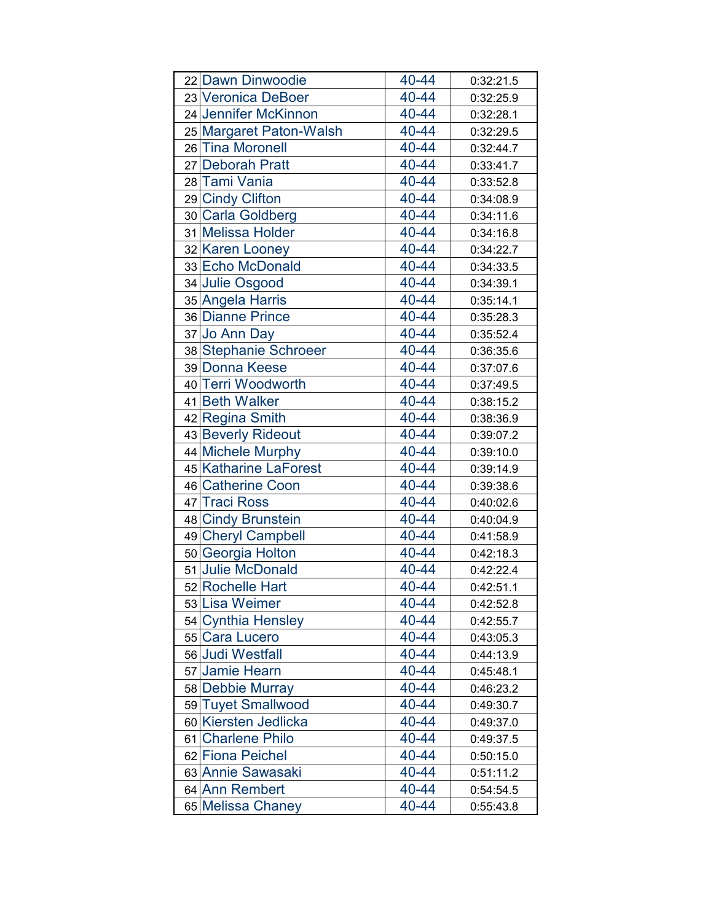| 22 Dawn Dinwoodie       | 40-44 | 0:32:21.5 |
|-------------------------|-------|-----------|
| 23 Veronica DeBoer      | 40-44 | 0:32:25.9 |
| 24 Jennifer McKinnon    | 40-44 | 0:32:28.1 |
| 25 Margaret Paton-Walsh | 40-44 | 0:32:29.5 |
| 26 Tina Moronell        | 40-44 | 0:32:44.7 |
| 27 Deborah Pratt        | 40-44 | 0:33:41.7 |
| 28 Tami Vania           | 40-44 | 0:33:52.8 |
| 29 Cindy Clifton        | 40-44 | 0:34:08.9 |
| 30 Carla Goldberg       | 40-44 | 0:34:11.6 |
| 31 Melissa Holder       | 40-44 | 0:34:16.8 |
| 32 Karen Looney         | 40-44 | 0:34:22.7 |
| 33 Echo McDonald        | 40-44 | 0:34:33.5 |
| 34 Julie Osgood         | 40-44 | 0:34:39.1 |
| 35 Angela Harris        | 40-44 | 0:35:14.1 |
| 36 Dianne Prince        | 40-44 | 0:35:28.3 |
| 37 Jo Ann Day           | 40-44 | 0:35:52.4 |
| 38 Stephanie Schroeer   | 40-44 | 0:36:35.6 |
| 39 Donna Keese          | 40-44 | 0:37:07.6 |
| 40 Terri Woodworth      | 40-44 | 0:37:49.5 |
| 41 Beth Walker          | 40-44 | 0:38:15.2 |
| 42 Regina Smith         | 40-44 | 0:38:36.9 |
| 43 Beverly Rideout      | 40-44 | 0:39:07.2 |
| 44 Michele Murphy       | 40-44 | 0:39:10.0 |
| 45 Katharine LaForest   | 40-44 | 0:39:14.9 |
| 46 Catherine Coon       | 40-44 | 0:39:38.6 |
| 47 Traci Ross           | 40-44 | 0:40:02.6 |
| 48 Cindy Brunstein      | 40-44 | 0:40:04.9 |
| 49 Cheryl Campbell      | 40-44 | 0:41:58.9 |
| 50 Georgia Holton       | 40-44 | 0:42:18.3 |
| 51 Julie McDonald       | 40-44 | 0:42:22.4 |
| 52 Rochelle Hart        | 40-44 | 0:42:51.1 |
| 53 Lisa Weimer          | 40-44 | 0:42:52.8 |
| 54 Cynthia Hensley      | 40-44 | 0:42:55.7 |
| 55 Cara Lucero          | 40-44 | 0:43:05.3 |
| 56 Judi Westfall        | 40-44 | 0:44:13.9 |
| 57 Jamie Hearn          | 40-44 | 0:45:48.1 |
| 58 Debbie Murray        | 40-44 | 0:46:23.2 |
| 59 Tuyet Smallwood      | 40-44 | 0:49:30.7 |
| 60 Kiersten Jedlicka    | 40-44 | 0:49:37.0 |
| 61 Charlene Philo       | 40-44 | 0:49:37.5 |
| 62 Fiona Peichel        | 40-44 | 0:50:15.0 |
| 63 Annie Sawasaki       | 40-44 | 0:51:11.2 |
| 64 Ann Rembert          | 40-44 | 0:54:54.5 |
| 65 Melissa Chaney       | 40-44 | 0:55:43.8 |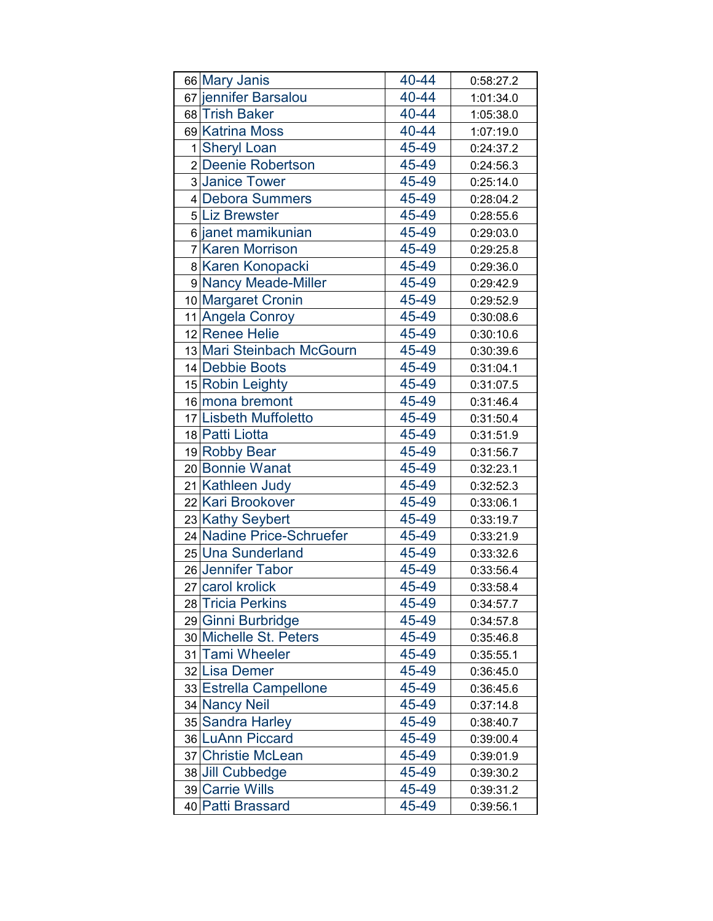| 66 Mary Janis             | 40-44 | 0:58:27.2 |
|---------------------------|-------|-----------|
| 67 jennifer Barsalou      | 40-44 | 1:01:34.0 |
| 68 Trish Baker            | 40-44 | 1:05:38.0 |
| 69 Katrina Moss           | 40-44 | 1:07:19.0 |
| 1 Sheryl Loan             | 45-49 | 0:24:37.2 |
| 2 Deenie Robertson        | 45-49 | 0:24:56.3 |
| 3 Janice Tower            | 45-49 | 0:25:14.0 |
| 4 Debora Summers          | 45-49 | 0:28:04.2 |
| 5 Liz Brewster            | 45-49 | 0:28:55.6 |
| 6 janet mamikunian        | 45-49 | 0:29:03.0 |
| 7 Karen Morrison          | 45-49 | 0:29:25.8 |
| 8 Karen Konopacki         | 45-49 | 0:29:36.0 |
| 9 Nancy Meade-Miller      | 45-49 | 0:29:42.9 |
| 10 Margaret Cronin        | 45-49 | 0:29:52.9 |
| 11 Angela Conroy          | 45-49 | 0:30:08.6 |
| 12 Renee Helie            | 45-49 | 0:30:10.6 |
| 13 Mari Steinbach McGourn | 45-49 | 0:30:39.6 |
| 14 Debbie Boots           | 45-49 | 0:31:04.1 |
| 15 Robin Leighty          | 45-49 | 0:31:07.5 |
| 16 mona bremont           | 45-49 | 0:31:46.4 |
| 17 Lisbeth Muffoletto     | 45-49 | 0:31:50.4 |
| 18 Patti Liotta           | 45-49 | 0:31:51.9 |
| 19 Robby Bear             | 45-49 | 0:31:56.7 |
| 20 Bonnie Wanat           | 45-49 | 0:32:23.1 |
| 21 Kathleen Judy          | 45-49 | 0:32:52.3 |
| 22 Kari Brookover         | 45-49 | 0:33:06.1 |
| 23 Kathy Seybert          | 45-49 | 0:33:19.7 |
| 24 Nadine Price-Schruefer | 45-49 | 0:33:21.9 |
| 25 Una Sunderland         | 45-49 | 0:33:32.6 |
| 26 Jennifer Tabor         | 45-49 | 0:33:56.4 |
| 27 carol krolick          | 45-49 | 0:33:58.4 |
| 28 Tricia Perkins         | 45-49 | 0:34:57.7 |
| 29 Ginni Burbridge        | 45-49 | 0:34:57.8 |
| 30 Michelle St. Peters    | 45-49 | 0:35:46.8 |
| 31 Tami Wheeler           | 45-49 | 0:35:55.1 |
| 32 Lisa Demer             | 45-49 | 0:36:45.0 |
| 33 Estrella Campellone    | 45-49 | 0:36:45.6 |
| 34 Nancy Neil             | 45-49 | 0:37:14.8 |
| 35 Sandra Harley          | 45-49 | 0:38:40.7 |
| 36 LuAnn Piccard          | 45-49 | 0:39:00.4 |
| 37 Christie McLean        | 45-49 | 0:39:01.9 |
| 38 Jill Cubbedge          | 45-49 | 0:39:30.2 |
| 39 Carrie Wills           | 45-49 | 0:39:31.2 |
| 40 Patti Brassard         | 45-49 | 0:39:56.1 |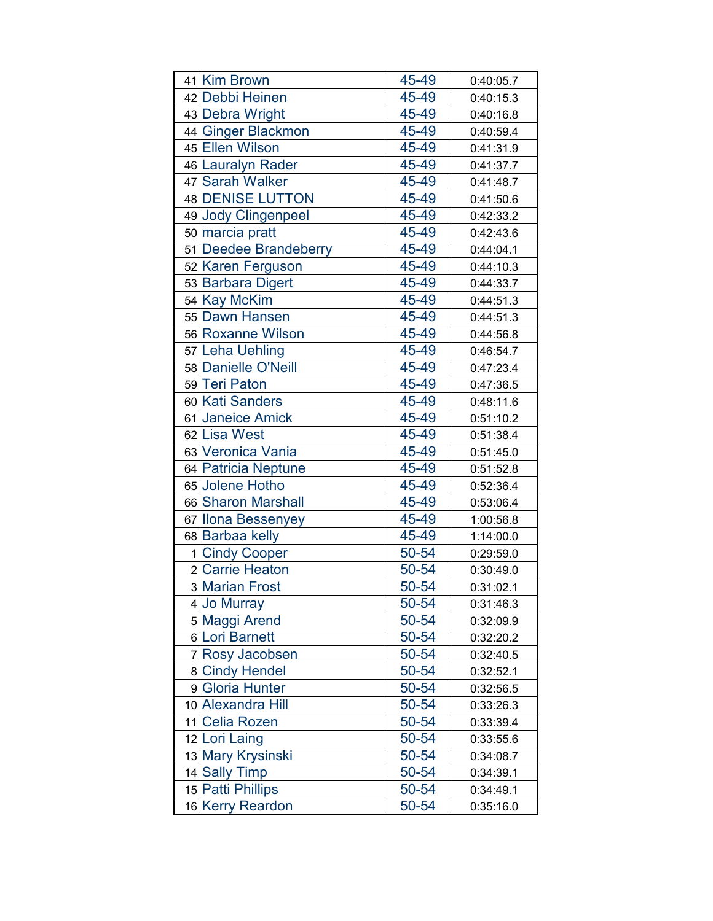| 41 Kim Brown          | 45-49 | 0:40:05.7 |
|-----------------------|-------|-----------|
| 42 Debbi Heinen       | 45-49 | 0:40:15.3 |
| 43 Debra Wright       | 45-49 | 0:40:16.8 |
| 44 Ginger Blackmon    | 45-49 | 0:40:59.4 |
| 45 Ellen Wilson       | 45-49 | 0:41:31.9 |
| 46 Lauralyn Rader     | 45-49 | 0:41:37.7 |
| 47 Sarah Walker       | 45-49 | 0:41:48.7 |
| 48 DENISE LUTTON      | 45-49 | 0:41:50.6 |
| 49 Jody Clingenpeel   | 45-49 | 0:42:33.2 |
| 50 marcia pratt       | 45-49 | 0:42:43.6 |
| 51 Deedee Brandeberry | 45-49 | 0:44:04.1 |
| 52 Karen Ferguson     | 45-49 | 0:44:10.3 |
| 53 Barbara Digert     | 45-49 | 0:44:33.7 |
| 54 Kay McKim          | 45-49 | 0:44:51.3 |
| 55 Dawn Hansen        | 45-49 | 0:44:51.3 |
| 56 Roxanne Wilson     | 45-49 | 0:44:56.8 |
| 57 Leha Uehling       | 45-49 | 0:46:54.7 |
| 58 Danielle O'Neill   | 45-49 | 0:47:23.4 |
| 59 Teri Paton         | 45-49 | 0:47:36.5 |
| 60 Kati Sanders       | 45-49 | 0:48:11.6 |
| 61 Janeice Amick      | 45-49 | 0:51:10.2 |
| 62 Lisa West          | 45-49 | 0:51:38.4 |
| 63 Veronica Vania     | 45-49 | 0:51:45.0 |
| 64 Patricia Neptune   | 45-49 | 0:51:52.8 |
| 65 Jolene Hotho       | 45-49 | 0:52:36.4 |
| 66 Sharon Marshall    | 45-49 | 0:53:06.4 |
| 67 Ilona Bessenyey    | 45-49 | 1:00:56.8 |
| 68 Barbaa kelly       | 45-49 | 1:14:00.0 |
| 1 Cindy Cooper        | 50-54 | 0:29:59.0 |
| 2 Carrie Heaton       | 50-54 | 0:30:49.0 |
| 3 Marian Frost        | 50-54 | 0:31:02.1 |
| 4 Jo Murray           | 50-54 | 0:31:46.3 |
| 5 Maggi Arend         | 50-54 | 0:32:09.9 |
| 6 Lori Barnett        | 50-54 | 0:32:20.2 |
| 7 Rosy Jacobsen       | 50-54 | 0:32:40.5 |
| 8 Cindy Hendel        | 50-54 | 0:32:52.1 |
| 9 Gloria Hunter       | 50-54 | 0:32:56.5 |
| 10 Alexandra Hill     | 50-54 | 0:33:26.3 |
| 11 Celia Rozen        | 50-54 | 0:33:39.4 |
| 12 Lori Laing         | 50-54 | 0:33:55.6 |
| 13 Mary Krysinski     | 50-54 | 0:34:08.7 |
| 14 Sally Timp         | 50-54 | 0:34:39.1 |
| 15 Patti Phillips     | 50-54 | 0:34:49.1 |
| 16 Kerry Reardon      | 50-54 | 0:35:16.0 |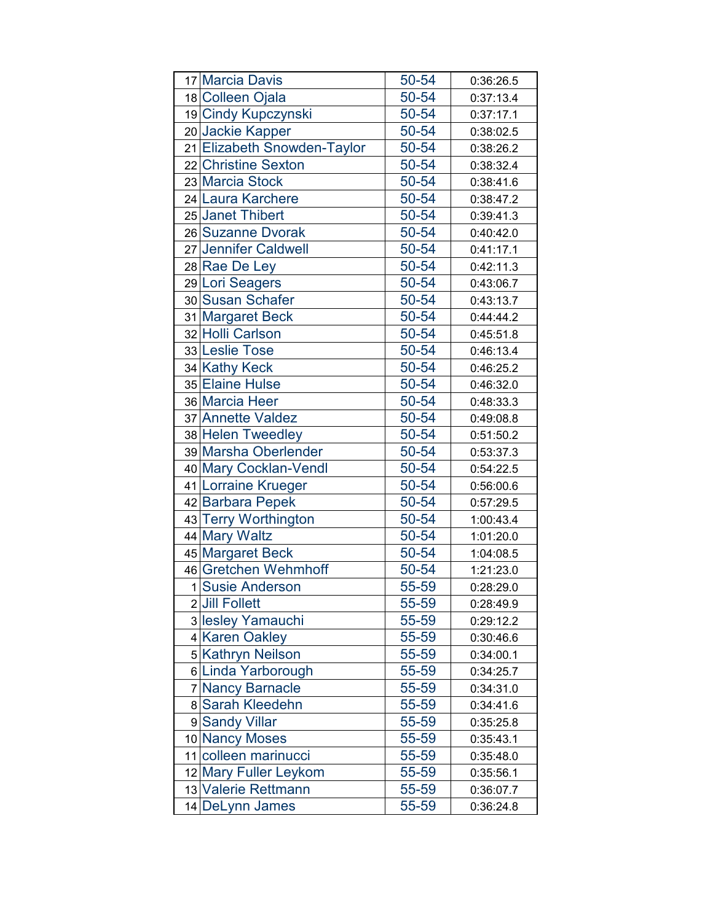|              | 17 Marcia Davis             | 50-54 | 0:36:26.5 |
|--------------|-----------------------------|-------|-----------|
|              | 18 Colleen Ojala            | 50-54 | 0:37:13.4 |
|              | 19 Cindy Kupczynski         | 50-54 | 0:37:17.1 |
|              | 20 Jackie Kapper            | 50-54 | 0:38:02.5 |
|              | 21 Elizabeth Snowden-Taylor | 50-54 | 0:38:26.2 |
|              | 22 Christine Sexton         | 50-54 | 0:38:32.4 |
|              | 23 Marcia Stock             | 50-54 | 0:38:41.6 |
|              | 24 Laura Karchere           | 50-54 | 0:38:47.2 |
|              | 25 Janet Thibert            | 50-54 | 0:39:41.3 |
|              | 26 Suzanne Dvorak           | 50-54 | 0:40:42.0 |
|              | 27 Jennifer Caldwell        | 50-54 | 0:41:17.1 |
|              | 28 Rae De Ley               | 50-54 | 0:42:11.3 |
|              | 29 Lori Seagers             | 50-54 | 0:43:06.7 |
|              | 30 Susan Schafer            | 50-54 | 0:43:13.7 |
|              | 31 Margaret Beck            | 50-54 | 0:44:44.2 |
|              | 32 Holli Carlson            | 50-54 | 0:45:51.8 |
|              | 33 Leslie Tose              | 50-54 | 0:46:13.4 |
|              | 34 Kathy Keck               | 50-54 | 0:46:25.2 |
|              | 35 Elaine Hulse             | 50-54 | 0:46:32.0 |
|              | 36 Marcia Heer              | 50-54 | 0:48:33.3 |
|              | 37 Annette Valdez           | 50-54 | 0:49:08.8 |
|              | 38 Helen Tweedley           | 50-54 | 0:51:50.2 |
|              | 39 Marsha Oberlender        | 50-54 | 0:53:37.3 |
|              | 40 Mary Cocklan-Vendl       | 50-54 | 0:54:22.5 |
|              | 41 Lorraine Krueger         | 50-54 | 0:56:00.6 |
|              | 42 Barbara Pepek            | 50-54 | 0:57:29.5 |
|              | 43 Terry Worthington        | 50-54 | 1:00:43.4 |
|              | 44 Mary Waltz               | 50-54 | 1:01:20.0 |
|              | 45 Margaret Beck            | 50-54 | 1:04:08.5 |
|              | 46 Gretchen Wehmhoff        | 50-54 | 1:21:23.0 |
| $\mathbf{1}$ | <b>Susie Anderson</b>       | 55-59 | 0:28:29.0 |
|              | 2 Jill Follett              | 55-59 | 0:28:49.9 |
|              | 3 lesley Yamauchi           | 55-59 | 0:29:12.2 |
|              | 4 Karen Oakley              | 55-59 | 0:30:46.6 |
|              | 5 Kathryn Neilson           | 55-59 | 0:34:00.1 |
|              | 6 Linda Yarborough          | 55-59 | 0:34:25.7 |
|              | 7 Nancy Barnacle            | 55-59 | 0:34:31.0 |
|              | 8 Sarah Kleedehn            | 55-59 | 0:34:41.6 |
|              | 9 Sandy Villar              | 55-59 | 0:35:25.8 |
|              | 10 Nancy Moses              | 55-59 | 0:35:43.1 |
|              | 11 colleen marinucci        | 55-59 | 0:35:48.0 |
|              | 12 Mary Fuller Leykom       | 55-59 | 0:35:56.1 |
|              | 13 Valerie Rettmann         | 55-59 | 0:36:07.7 |
|              | 14 DeLynn James             | 55-59 | 0:36:24.8 |